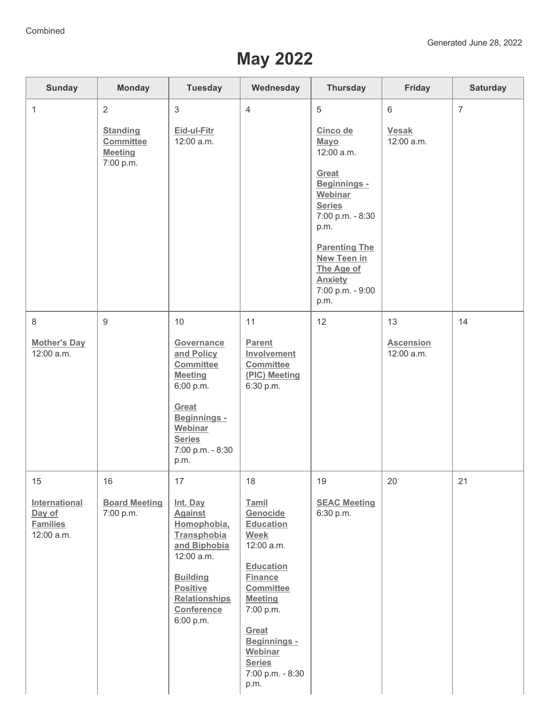## **May 2022**

| <b>Sunday</b>                                                  | <b>Monday</b>                                                    | <b>Tuesday</b>                                                                                                                                                                        | Wednesday                                                                                                                                                                                                                            | <b>Thursday</b>                                                                                                                                                                                                         | Friday                                       | <b>Saturday</b> |
|----------------------------------------------------------------|------------------------------------------------------------------|---------------------------------------------------------------------------------------------------------------------------------------------------------------------------------------|--------------------------------------------------------------------------------------------------------------------------------------------------------------------------------------------------------------------------------------|-------------------------------------------------------------------------------------------------------------------------------------------------------------------------------------------------------------------------|----------------------------------------------|-----------------|
| $\mathbf{1}$                                                   | 2<br><b>Standing</b><br>Committee<br><b>Meeting</b><br>7:00 p.m. | $\mathbf{3}$<br>Eid-ul-Fitr<br>12:00 a.m.                                                                                                                                             | $\overline{4}$                                                                                                                                                                                                                       | 5<br>Cinco de<br>Mayo<br>12:00 a.m.<br>Great<br>Beginnings -<br>Webinar<br><b>Series</b><br>7:00 p.m. - 8:30<br>p.m.<br><b>Parenting The</b><br>New Teen in<br>The Age of<br><b>Anxiety</b><br>7:00 p.m. - 9:00<br>p.m. | $6\phantom{1}$<br><b>Vesak</b><br>12:00 a.m. | $\overline{7}$  |
| $\,8\,$<br><b>Mother's Day</b><br>12:00 a.m.                   | $9\,$                                                            | 10<br>Governance<br>and Policy<br>Committee<br><b>Meeting</b><br>6:00 p.m.<br>Great<br>Beginnings -<br>Webinar<br><b>Series</b><br>7:00 p.m. - 8:30<br>p.m.                           | 11<br><b>Parent</b><br>Involvement<br>Committee<br>(PIC) Meeting<br>6:30 p.m.                                                                                                                                                        | 12                                                                                                                                                                                                                      | 13<br><b>Ascension</b><br>12:00 a.m.         | 14              |
| 15<br>International<br>Day of<br><b>Families</b><br>12:00 a.m. | 16<br><b>Board Meeting</b><br>7:00 p.m.                          | 17<br>Int. Day<br><b>Against</b><br>Homophobia,<br>Transphobia<br>and Biphobia<br>12:00 a.m.<br><b>Building</b><br><b>Positive</b><br><b>Relationships</b><br>Conference<br>6:00 p.m. | 18<br>Tamil<br>Genocide<br>Education<br><b>Week</b><br>12:00 a.m.<br><b>Education</b><br><b>Finance</b><br>Committee<br><b>Meeting</b><br>7:00 p.m.<br>Great<br>Beginnings -<br>Webinar<br><b>Series</b><br>7:00 p.m. - 8:30<br>p.m. | 19<br><b>SEAC Meeting</b><br>6:30 p.m.                                                                                                                                                                                  | 20                                           | 21              |